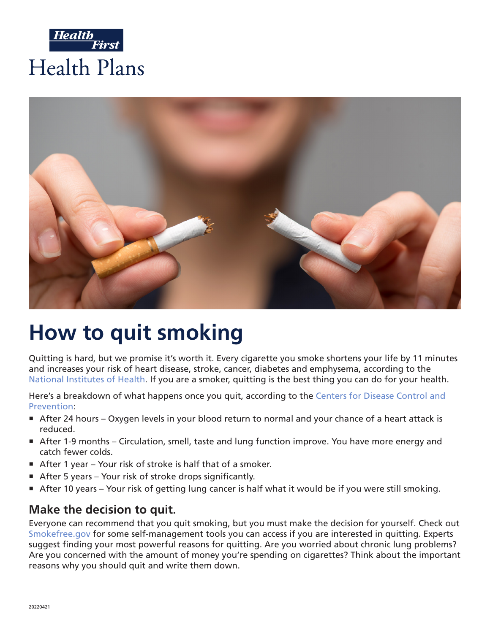



# **How to quit smoking**

Quitting is hard, but we promise it's worth it. Every cigarette you smoke shortens your life by 11 minutes and increases your risk of heart disease, stroke, cancer, diabetes and emphysema, according to the [National Institutes of Health](https://www.ncbi.nlm.nih.gov/pmc/articles/PMC1117323/). If you are a smoker, quitting is the best thing you can do for your health.

Here's a breakdown of what happens once you quit, according to the [Centers for Disease Control and](https://www.cdc.gov/tobacco/quit_smoking/how_to_quit/benefits/index.htm)  [Prevention:](https://www.cdc.gov/tobacco/quit_smoking/how_to_quit/benefits/index.htm)

- ° After 24 hours Oxygen levels in your blood return to normal and your chance of a heart attack is reduced.
- ° After 1-9 months Circulation, smell, taste and lung function improve. You have more energy and catch fewer colds.
- After 1 year Your risk of stroke is half that of a smoker.
- **After 5 years Your risk of stroke drops significantly.**
- ° After 10 years Your risk of getting lung cancer is half what it would be if you were still smoking.

#### **Make the decision to quit.**

Everyone can recommend that you quit smoking, but you must make the decision for yourself. Check out [Smokefree.gov](https://smokefree.gov/build-your-quit-plan) for some self-management tools you can access if you are interested in quitting. Experts suggest finding your most powerful reasons for quitting. Are you worried about chronic lung problems? Are you concerned with the amount of money you're spending on cigarettes? Think about the important reasons why you should quit and write them down.